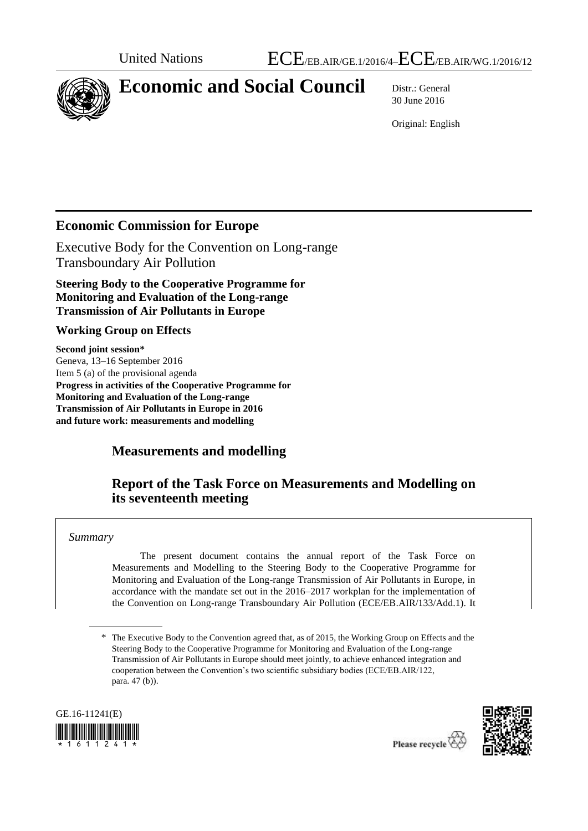

# **Economic and Social Council** Distr.: General

30 June 2016

Original: English

## **Economic Commission for Europe**

Executive Body for the Convention on Long-range Transboundary Air Pollution

**Steering Body to the Cooperative Programme for Monitoring and Evaluation of the Long-range Transmission of Air Pollutants in Europe** 

#### **Working Group on Effects**

**Second joint session\*** Geneva, 13–16 September 2016 Item 5 (a) of the provisional agenda **Progress in activities of the Cooperative Programme for Monitoring and Evaluation of the Long-range Transmission of Air Pollutants in Europe in 2016 and future work: measurements and modelling**

## **Measurements and modelling**

## **Report of the Task Force on Measurements and Modelling on its seventeenth meeting**

*Summary*

The present document contains the annual report of the Task Force on Measurements and Modelling to the Steering Body to the Cooperative Programme for Monitoring and Evaluation of the Long-range Transmission of Air Pollutants in Europe, in accordance with the mandate set out in the 2016–2017 workplan for the implementation of the Convention on Long-range Transboundary Air Pollution (ECE/EB.AIR/133/Add.1). It

<sup>\*</sup> The Executive Body to the Convention agreed that, as of 2015, the Working Group on Effects and the Steering Body to the Cooperative Programme for Monitoring and Evaluation of the Long-range Transmission of Air Pollutants in Europe should meet jointly, to achieve enhanced integration and cooperation between the Convention's two scientific subsidiary bodies (ECE/EB.AIR/122, para. 47 (b)).



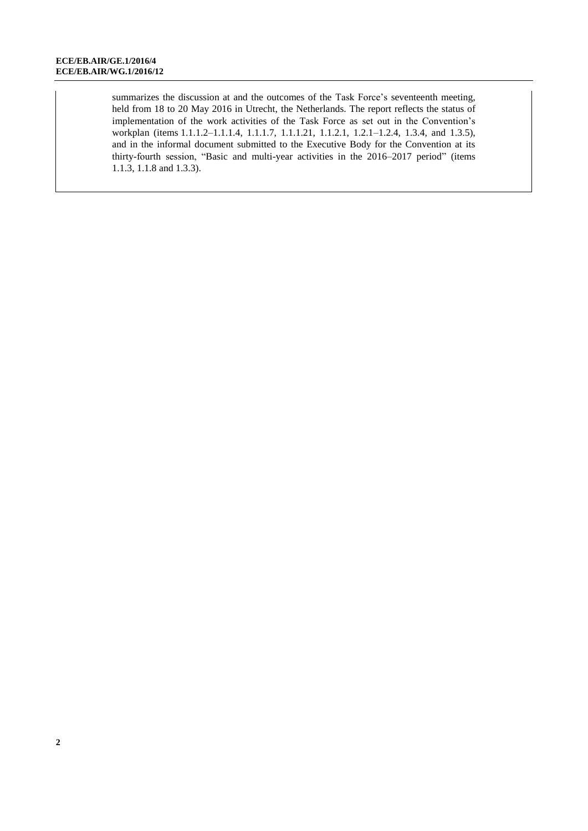summarizes the discussion at and the outcomes of the Task Force's seventeenth meeting, held from 18 to 20 May 2016 in Utrecht, the Netherlands. The report reflects the status of implementation of the work activities of the Task Force as set out in the Convention's workplan (items 1.1.1.2–1.1.1.4, 1.1.1.7, 1.1.1.21, 1.1.2.1, 1.2.1–1.2.4, 1.3.4, and 1.3.5), and in the informal document submitted to the Executive Body for the Convention at its thirty-fourth session, "Basic and multi-year activities in the 2016–2017 period" (items 1.1.3, 1.1.8 and 1.3.3).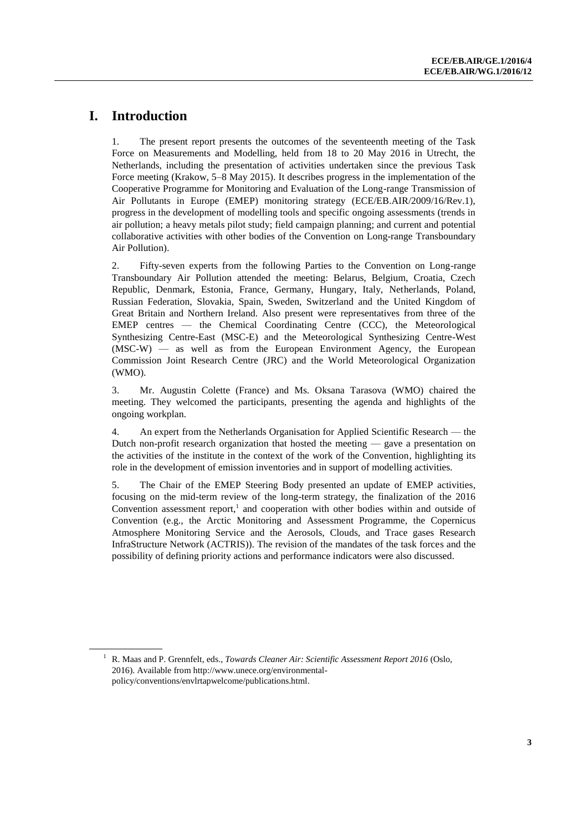#### **I. Introduction**

1. The present report presents the outcomes of the seventeenth meeting of the Task Force on Measurements and Modelling, held from 18 to 20 May 2016 in Utrecht, the Netherlands, including the presentation of activities undertaken since the previous Task Force meeting (Krakow, 5–8 May 2015). It describes progress in the implementation of the Cooperative Programme for Monitoring and Evaluation of the Long-range Transmission of Air Pollutants in Europe (EMEP) monitoring strategy (ECE/EB.AIR/2009/16/Rev.1), progress in the development of modelling tools and specific ongoing assessments (trends in air pollution; a heavy metals pilot study; field campaign planning; and current and potential collaborative activities with other bodies of the Convention on Long-range Transboundary Air Pollution).

2. Fifty-seven experts from the following Parties to the Convention on Long-range Transboundary Air Pollution attended the meeting: Belarus, Belgium, Croatia, Czech Republic, Denmark, Estonia, France, Germany, Hungary, Italy, Netherlands, Poland, Russian Federation, Slovakia, Spain, Sweden, Switzerland and the United Kingdom of Great Britain and Northern Ireland. Also present were representatives from three of the EMEP centres — the Chemical Coordinating Centre (CCC), the Meteorological Synthesizing Centre-East (MSC-E) and the Meteorological Synthesizing Centre-West (MSC-W) — as well as from the European Environment Agency, the European Commission Joint Research Centre (JRC) and the World Meteorological Organization (WMO).

3. Mr. Augustin Colette (France) and Ms. Oksana Tarasova (WMO) chaired the meeting. They welcomed the participants, presenting the agenda and highlights of the ongoing workplan.

4. An expert from the Netherlands Organisation for Applied Scientific Research — the Dutch non-profit research organization that hosted the meeting — gave a presentation on the activities of the institute in the context of the work of the Convention, highlighting its role in the development of emission inventories and in support of modelling activities.

5. The Chair of the EMEP Steering Body presented an update of EMEP activities, focusing on the mid-term review of the long-term strategy, the finalization of the 2016 Convention assessment report, 1 and cooperation with other bodies within and outside of Convention (e.g., the Arctic Monitoring and Assessment Programme, the Copernicus Atmosphere Monitoring Service and the Aerosols, Clouds, and Trace gases Research InfraStructure Network (ACTRIS)). The revision of the mandates of the task forces and the possibility of defining priority actions and performance indicators were also discussed.

<sup>1</sup> R. Maas and P. Grennfelt, eds., *Towards Cleaner Air: Scientific Assessment Report 2016* (Oslo, 2016). Available from [http://www.unece.org/environmental](http://www.unece.org/environmental-policy/conventions/envlrtapwelcome/publications.html)[policy/conventions/envlrtapwelcome/publications.html.](http://www.unece.org/environmental-policy/conventions/envlrtapwelcome/publications.html)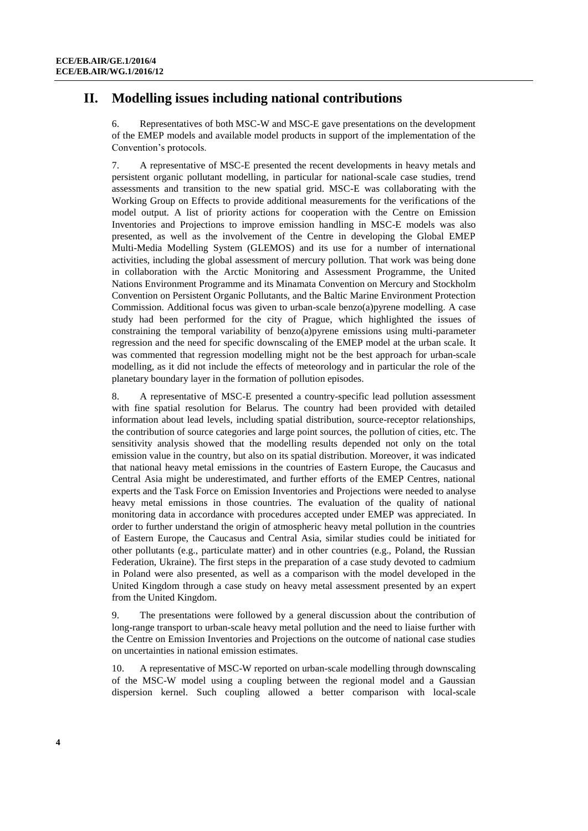#### **II. Modelling issues including national contributions**

6. Representatives of both MSC-W and MSC-E gave presentations on the development of the EMEP models and available model products in support of the implementation of the Convention's protocols.

7. A representative of MSC-E presented the recent developments in heavy metals and persistent organic pollutant modelling, in particular for national-scale case studies, trend assessments and transition to the new spatial grid. MSC-E was collaborating with the Working Group on Effects to provide additional measurements for the verifications of the model output. A list of priority actions for cooperation with the Centre on Emission Inventories and Projections to improve emission handling in MSC-E models was also presented, as well as the involvement of the Centre in developing the Global EMEP Multi-Media Modelling System (GLEMOS) and its use for a number of international activities, including the global assessment of mercury pollution. That work was being done in collaboration with the Arctic Monitoring and Assessment Programme, the United Nations Environment Programme and its Minamata Convention on Mercury and Stockholm Convention on Persistent Organic Pollutants, and the Baltic Marine Environment Protection Commission. Additional focus was given to urban-scale benzo(a)pyrene modelling. A case study had been performed for the city of Prague, which highlighted the issues of constraining the temporal variability of benzo(a)pyrene emissions using multi-parameter regression and the need for specific downscaling of the EMEP model at the urban scale. It was commented that regression modelling might not be the best approach for urban-scale modelling, as it did not include the effects of meteorology and in particular the role of the planetary boundary layer in the formation of pollution episodes.

8. A representative of MSC-E presented a country-specific lead pollution assessment with fine spatial resolution for Belarus. The country had been provided with detailed information about lead levels, including spatial distribution, source-receptor relationships, the contribution of source categories and large point sources, the pollution of cities, etc. The sensitivity analysis showed that the modelling results depended not only on the total emission value in the country, but also on its spatial distribution. Moreover, it was indicated that national heavy metal emissions in the countries of Eastern Europe, the Caucasus and Central Asia might be underestimated, and further efforts of the EMEP Centres, national experts and the Task Force on Emission Inventories and Projections were needed to analyse heavy metal emissions in those countries. The evaluation of the quality of national monitoring data in accordance with procedures accepted under EMEP was appreciated. In order to further understand the origin of atmospheric heavy metal pollution in the countries of Eastern Europe, the Caucasus and Central Asia, similar studies could be initiated for other pollutants (e.g., particulate matter) and in other countries (e.g., Poland, the Russian Federation, Ukraine). The first steps in the preparation of a case study devoted to cadmium in Poland were also presented, as well as a comparison with the model developed in the United Kingdom through a case study on heavy metal assessment presented by an expert from the United Kingdom.

9. The presentations were followed by a general discussion about the contribution of long-range transport to urban-scale heavy metal pollution and the need to liaise further with the Centre on Emission Inventories and Projections on the outcome of national case studies on uncertainties in national emission estimates.

10. A representative of MSC-W reported on urban-scale modelling through downscaling of the MSC-W model using a coupling between the regional model and a Gaussian dispersion kernel. Such coupling allowed a better comparison with local-scale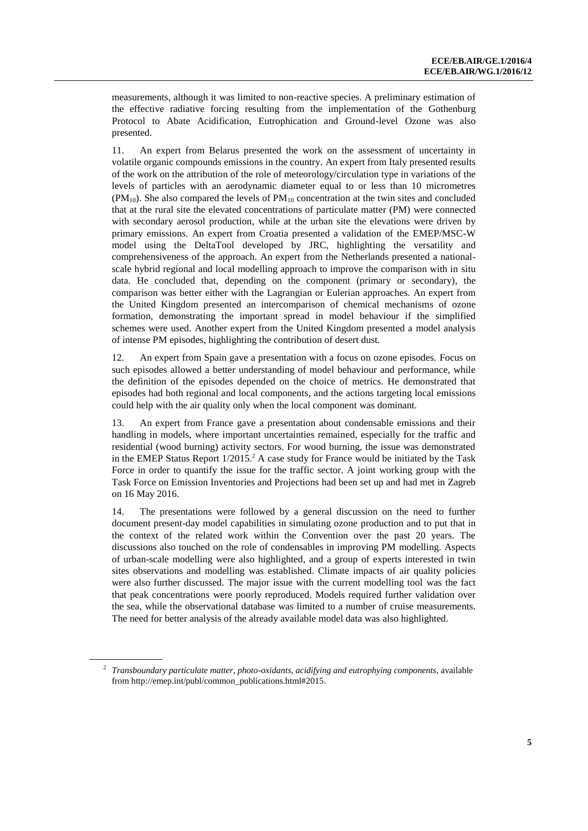measurements, although it was limited to non-reactive species. A preliminary estimation of the effective radiative forcing resulting from the implementation of the Gothenburg Protocol to Abate Acidification, Eutrophication and Ground-level Ozone was also presented.

11. An expert from Belarus presented the work on the assessment of uncertainty in volatile organic compounds emissions in the country. An expert from Italy presented results of the work on the attribution of the role of meteorology/circulation type in variations of the levels of particles with an aerodynamic diameter equal to or less than 10 micrometres  $(PM_{10})$ . She also compared the levels of  $PM_{10}$  concentration at the twin sites and concluded that at the rural site the elevated concentrations of particulate matter (PM) were connected with secondary aerosol production, while at the urban site the elevations were driven by primary emissions. An expert from Croatia presented a validation of the EMEP/MSC-W model using the DeltaTool developed by JRC, highlighting the versatility and comprehensiveness of the approach. An expert from the Netherlands presented a nationalscale hybrid regional and local modelling approach to improve the comparison with in situ data. He concluded that, depending on the component (primary or secondary), the comparison was better either with the Lagrangian or Eulerian approaches. An expert from the United Kingdom presented an intercomparison of chemical mechanisms of ozone formation, demonstrating the important spread in model behaviour if the simplified schemes were used. Another expert from the United Kingdom presented a model analysis of intense PM episodes, highlighting the contribution of desert dust.

12. An expert from Spain gave a presentation with a focus on ozone episodes. Focus on such episodes allowed a better understanding of model behaviour and performance, while the definition of the episodes depended on the choice of metrics. He demonstrated that episodes had both regional and local components, and the actions targeting local emissions could help with the air quality only when the local component was dominant.

13. An expert from France gave a presentation about condensable emissions and their handling in models, where important uncertainties remained, especially for the traffic and residential (wood burning) activity sectors. For wood burning, the issue was demonstrated in the EMEP Status Report  $1/2015$ .<sup>2</sup> A case study for France would be initiated by the Task Force in order to quantify the issue for the traffic sector. A joint working group with the Task Force on Emission Inventories and Projections had been set up and had met in Zagreb on 16 May 2016.

14. The presentations were followed by a general discussion on the need to further document present-day model capabilities in simulating ozone production and to put that in the context of the related work within the Convention over the past 20 years. The discussions also touched on the role of condensables in improving PM modelling. Aspects of urban-scale modelling were also highlighted, and a group of experts interested in twin sites observations and modelling was established. Climate impacts of air quality policies were also further discussed. The major issue with the current modelling tool was the fact that peak concentrations were poorly reproduced. Models required further validation over the sea, while the observational database was limited to a number of cruise measurements. The need for better analysis of the already available model data was also highlighted.

<sup>2</sup> *Transboundary particulate matter, photo-oxidants, acidifying and eutrophying components*, available from [http://emep.int/publ/common\\_publications.html#2015.](http://emep.int/publ/common_publications.html#2015)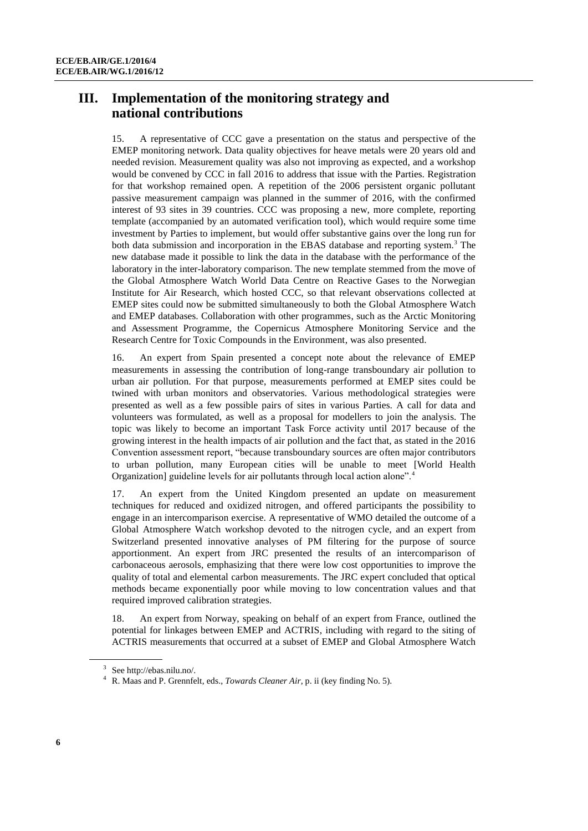#### **III. Implementation of the monitoring strategy and national contributions**

15. A representative of CCC gave a presentation on the status and perspective of the EMEP monitoring network. Data quality objectives for heave metals were 20 years old and needed revision. Measurement quality was also not improving as expected, and a workshop would be convened by CCC in fall 2016 to address that issue with the Parties. Registration for that workshop remained open. A repetition of the 2006 persistent organic pollutant passive measurement campaign was planned in the summer of 2016, with the confirmed interest of 93 sites in 39 countries. CCC was proposing a new, more complete, reporting template (accompanied by an automated verification tool), which would require some time investment by Parties to implement, but would offer substantive gains over the long run for both data submission and incorporation in the EBAS database and reporting system.<sup>3</sup> The new database made it possible to link the data in the database with the performance of the laboratory in the inter-laboratory comparison. The new template stemmed from the move of the Global Atmosphere Watch World Data Centre on Reactive Gases to the Norwegian Institute for Air Research, which hosted CCC, so that relevant observations collected at EMEP sites could now be submitted simultaneously to both the Global Atmosphere Watch and EMEP databases. Collaboration with other programmes, such as the Arctic Monitoring and Assessment Programme, the Copernicus Atmosphere Monitoring Service and the Research Centre for Toxic Compounds in the Environment, was also presented.

16. An expert from Spain presented a concept note about the relevance of EMEP measurements in assessing the contribution of long-range transboundary air pollution to urban air pollution. For that purpose, measurements performed at EMEP sites could be twined with urban monitors and observatories. Various methodological strategies were presented as well as a few possible pairs of sites in various Parties. A call for data and volunteers was formulated, as well as a proposal for modellers to join the analysis. The topic was likely to become an important Task Force activity until 2017 because of the growing interest in the health impacts of air pollution and the fact that, as stated in the 2016 Convention assessment report, "because transboundary sources are often major contributors to urban pollution, many European cities will be unable to meet [World Health Organization] guideline levels for air pollutants through local action alone".

17. An expert from the United Kingdom presented an update on measurement techniques for reduced and oxidized nitrogen, and offered participants the possibility to engage in an intercomparison exercise. A representative of WMO detailed the outcome of a Global Atmosphere Watch workshop devoted to the nitrogen cycle, and an expert from Switzerland presented innovative analyses of PM filtering for the purpose of source apportionment. An expert from JRC presented the results of an intercomparison of carbonaceous aerosols, emphasizing that there were low cost opportunities to improve the quality of total and elemental carbon measurements. The JRC expert concluded that optical methods became exponentially poor while moving to low concentration values and that required improved calibration strategies.

18. An expert from Norway, speaking on behalf of an expert from France, outlined the potential for linkages between EMEP and ACTRIS, including with regard to the siting of ACTRIS measurements that occurred at a subset of EMEP and Global Atmosphere Watch

<sup>3</sup> Se[e http://ebas.nilu.no/.](http://ebas.nilu.no/)

<sup>4</sup> R. Maas and P. Grennfelt, eds., *Towards Cleaner Air*, p. ii (key finding No. 5).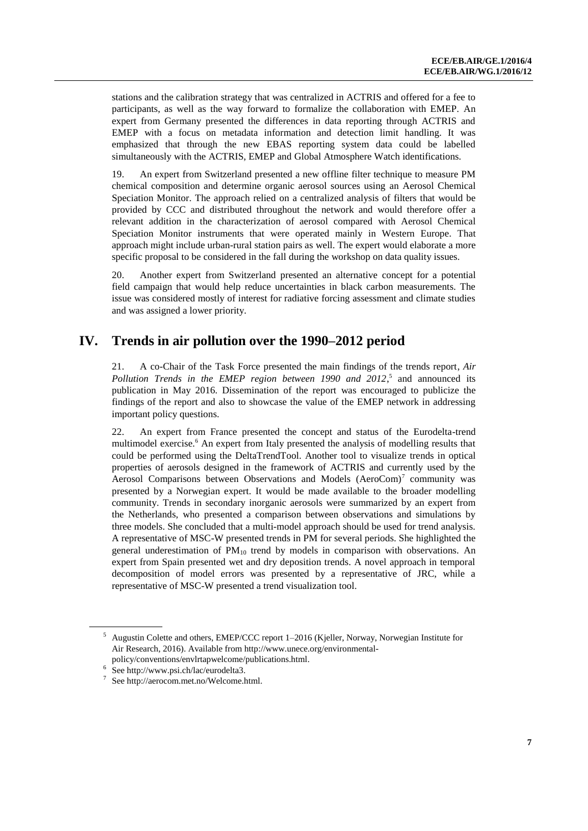stations and the calibration strategy that was centralized in ACTRIS and offered for a fee to participants, as well as the way forward to formalize the collaboration with EMEP. An expert from Germany presented the differences in data reporting through ACTRIS and EMEP with a focus on metadata information and detection limit handling. It was emphasized that through the new EBAS reporting system data could be labelled simultaneously with the ACTRIS, EMEP and Global Atmosphere Watch identifications.

19. An expert from Switzerland presented a new offline filter technique to measure PM chemical composition and determine organic aerosol sources using an Aerosol Chemical Speciation Monitor. The approach relied on a centralized analysis of filters that would be provided by CCC and distributed throughout the network and would therefore offer a relevant addition in the characterization of aerosol compared with Aerosol Chemical Speciation Monitor instruments that were operated mainly in Western Europe. That approach might include urban-rural station pairs as well. The expert would elaborate a more specific proposal to be considered in the fall during the workshop on data quality issues.

20. Another expert from Switzerland presented an alternative concept for a potential field campaign that would help reduce uncertainties in black carbon measurements. The issue was considered mostly of interest for radiative forcing assessment and climate studies and was assigned a lower priority.

#### **IV. Trends in air pollution over the 1990–2012 period**

21. A co-Chair of the Task Force presented the main findings of the trends report, *Air*  Pollution Trends in the EMEP region between 1990 and 2012,<sup>5</sup> and announced its publication in May 2016. Dissemination of the report was encouraged to publicize the findings of the report and also to showcase the value of the EMEP network in addressing important policy questions.

22. An expert from France presented the concept and status of the Eurodelta-trend multimodel exercise.<sup>6</sup> An expert from Italy presented the analysis of modelling results that could be performed using the DeltaTrendTool. Another tool to visualize trends in optical properties of aerosols designed in the framework of ACTRIS and currently used by the Aerosol Comparisons between Observations and Models (AeroCom)<sup>7</sup> community was presented by a Norwegian expert. It would be made available to the broader modelling community. Trends in secondary inorganic aerosols were summarized by an expert from the Netherlands, who presented a comparison between observations and simulations by three models. She concluded that a multi-model approach should be used for trend analysis. A representative of MSC-W presented trends in PM for several periods. She highlighted the general underestimation of  $PM_{10}$  trend by models in comparison with observations. An expert from Spain presented wet and dry deposition trends. A novel approach in temporal decomposition of model errors was presented by a representative of JRC, while a representative of MSC-W presented a trend visualization tool.

<sup>&</sup>lt;sup>5</sup> Augustin Colette and others, EMEP/CCC report 1–2016 (Kjeller, Norway, Norwegian Institute for Air Research, 2016). Available fro[m http://www.unece.org/environmental](http://www.unece.org/environmental-policy/conventions/envlrtapwelcome/publications.html)[policy/conventions/envlrtapwelcome/publications.html.](http://www.unece.org/environmental-policy/conventions/envlrtapwelcome/publications.html)

<sup>&</sup>lt;sup>6</sup> Se[e http://www.psi.ch/lac/eurodelta3.](http://www.psi.ch/lac/eurodelta3)

Se[e http://aerocom.met.no/Welcome.html.](http://aerocom.met.no/Welcome.html)